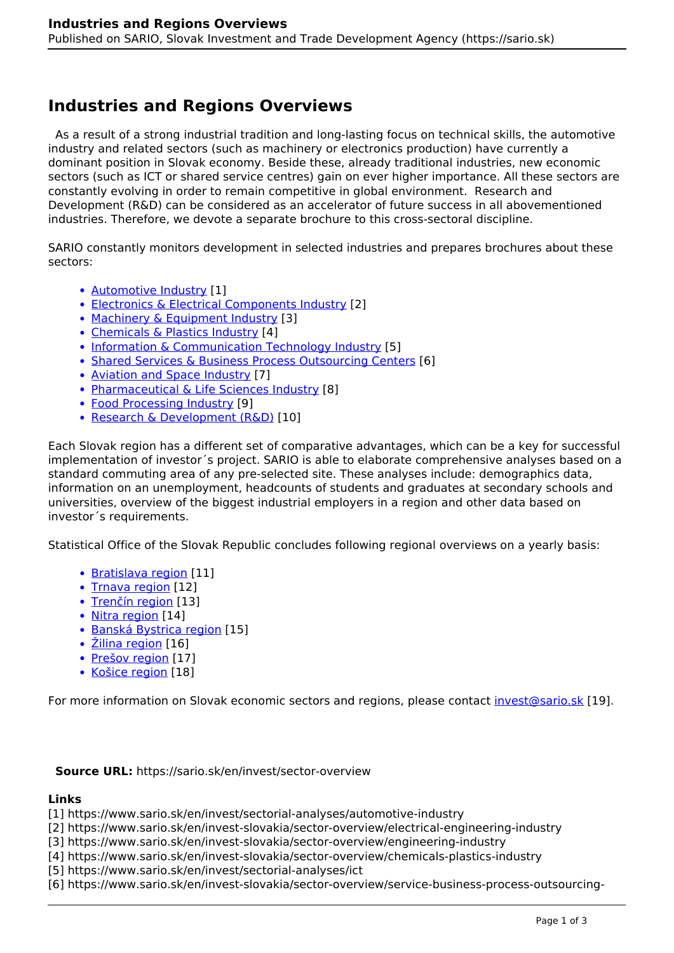# **Industries and Regions Overviews**

 As a result of a strong industrial tradition and long-lasting focus on technical skills, the automotive industry and related sectors (such as machinery or electronics production) have currently a dominant position in Slovak economy. Beside these, already traditional industries, new economic sectors (such as ICT or shared service centres) gain on ever higher importance. All these sectors are constantly evolving in order to remain competitive in global environment. Research and Development (R&D) can be considered as an accelerator of future success in all abovementioned industries. Therefore, we devote a separate brochure to this cross-sectoral discipline.

SARIO constantly monitors development in selected industries and prepares brochures about these sectors:

- [Automotive Industry](https://www.sario.sk/en/invest/sectorial-analyses/automotive-industry) [1]
- [Electronics & Electrical Components Industry](https://www.sario.sk/en/invest-slovakia/sector-overview/electrical-engineering-industry) [2]
- [Machinery & Equipment Industry](https://www.sario.sk/en/invest-slovakia/sector-overview/engineering-industry) [3]
- [Chemicals & Plastics Industry](https://www.sario.sk/en/invest-slovakia/sector-overview/chemicals-plastics-industry) [4]
- [Information & Communication Technology Industry](https://www.sario.sk/en/invest/sectorial-analyses/ict) [5]
- [Shared Services & Business Process Outsourcing Centers](https://www.sario.sk/en/invest-slovakia/sector-overview/service-business-process-outsourcing-centers-slovakia) [6]
- [Aviation and Space Industry](https://www.sario.sk/en/invest/sectorial-analyses/aerospace) [7]
- [Pharmaceutical & Life Sciences Industry](https://www.sario.sk/en/invest-slovakia/industry-overview/pharmaceutical-life-science-industry) [8]
- [Food Processing Industry](https://www.sario.sk/en/invest-slovakia/industry-overview/food-processing-industry) [9]
- [Research & Development \(R&D\)](https://www.sario.sk/en/invest/rd) [10]

Each Slovak region has a different set of comparative advantages, which can be a key for successful implementation of investor´s project. SARIO is able to elaborate comprehensive analyses based on a standard commuting area of any pre-selected site. These analyses include: demographics data, information on an unemployment, headcounts of students and graduates at secondary schools and universities, overview of the biggest industrial employers in a region and other data based on investor´s requirements.

Statistical Office of the Slovak Republic concludes following regional overviews on a yearly basis:

- [Bratislava region](https://slovak.statistics.sk/wps/portal/d13c2231-06c8-44c4-83db-cac36f1706c9/!ut/p/z1/rVVdk5owFP0tfdhHzM0HJD4GrICiK6KovHQQdaWuH7tS3f33ja6dkTJGO9Mww0Byzr2X5BwuStAYJZv0kL-kRb7dpK_qfZJYP0LuC9vGEoCbDfBbw0boRnUMDFCMEpRkm2JXLNFkO92nS2O_Mna_pk-gbq_5Ks3y-RMc9vNi9Xk9M8M0I4RiA6xMGIxlzBB0NjWyNKPWAnM1XT_F3mX5DE0eQo_OxTqu9BgPAETgmuBLb9ivh5SCpCi5_hZhcgC_Gw0B4sgNI3bhw40h4TF-HPQuAIhMkG4Ps37YA-pbZ74MwzAK4hjcmDTBp9iF7lDFaPK_-dBuOyCFdKgpCXZi88y_sRw5oOefABo-aTE9_wTQ5fesO_k9q8yvbs8XX7NB5f3vNmzwecBD4dtUqOMdlcVaBZT5dkzUcreP22HotjGr8CuAUv0uH2B1_koAsQhpB8wKvywQDz_G1wASvRf1-YE9pl9NgkRvj9HJr3cceC9GojWJyS-AG4f8bJMLQOdCrQ8o1wPOPtIW2aGVIstKGv5J0Yx6RNaZ6zT6zyrCwCEiCiwCrnUHALiSoio2HUAOzDsRlFw8QNF-hSZKFvymLNoEjQ75_IiGm-37WrWM6B__2i2U5NN17Zita1DDRHCLEcxEnVD1fGpA5L3jdF5UzLRYGvlmsUXjhwIrav7z7S2RqkFtN8X8o0Dj_96hduu1oJ_59TBW_e9f10IeB4v1SOzlt9-E6WVn/dz/d5/L2dBISEvZ0FBIS9nQSEh/) [11]
- [Trnava region](https://slovak.statistics.sk/wps/portal/5ce399de-28ac-4357-8489-b31e7796dedf/!ut/p/z1/rZZbc6IwFMc_TR9pDiSQ8IiogUqxyMXKyw4qbVnrpZVtt_vpN9ptZ8WSsDMLM46Y3z_n5NwE5egW5Zvipbov6mq7KR7F8yy3vkXUZ72e7gBQsw_-VdqPeGzrQABNj4DLHY_QAIAF3ATf8dKJHWEMDka5WM6Cm3c9p4kOfhjGacYibAUfemi5HOim_3SQeykTQA84twOdXJky_Zjhpp6ZFAQQpwBZDAmQo75t2f_QfxoYx6kjgIlvukEPs2HD_unyGHSpfR5NpP5fR7Rp_xyQ6NNUl-sPwKn_E30IEcAoHLHE533a9B96ARYFMopDzx0aBDrqJYDs_MRSxM-2uuklgCT_rko_yIg0_gFRxD9o1F9b_0kc7FR_EkCSP4ue1-_IdYXeTPpmFuKboKNeAnSKX1v-PUM1PzKUo3yxqXf1A5pt5_viQduvtN2P-QWIj8dqVSyq8gJe9mW9evv7F3NRYttelprBioVGsEk1RpitzbFeUmpby3J5d9h7t6iWaNaJnqqGbS4fldODPYEM4xvDsQl3-5PxEPzENVgcWAYcsnkEZONaZSSXdhTGCiAhf4DWlGE54CRmE_hi6Dd2OK3KgdyH97EvA2I4i8MXg1_qw2ck20xwXX5McKkqkoYCsKk8WYOhCgjPTvHFH4C0JrmlctJS-JApkuUSosiFmFIz0Xq0tfVGBpq-VOUrSjfb57V4LYr_sbM9QFcor-bry9fF-hIudYNRixi6AA0svh_es4zna_f6Xmxb1A9atbnbottOewtp9f3pKXfEHNtu6vJnjW7_-yDbrdPza83wm7aaDE5u71cv1PiU7Z3f8nEF2Q!!/dz/d5/L2dBISEvZ0FBIS9nQSEh/) [12]
- [Trenčín region](https://slovak.statistics.sk/wps/portal/3fae9e9b-07bc-4978-babf-ee2058b35e83/!ut/p/z1/rZbbcqJAEIafJpdkmpmBGS45xIFAiAho5GYLXJKwxkMim8Pb72Cs1Ebj4FYWqixxvr-Hbrp_QQW6QcWyfG7uyrZZLcsHeT0tzB8JC7jj6DYAMzwILnMvEamlAwU02QJw5LABFXJ5HA3f9ddpbkMQjwLDjRxybeo7_ccG3GAggTQHGKeQCn2rP7Yc4n298HMuAQeEsCKdXhqf9xcs0-WyDDDmCeEx7OvBiYhMMExj3x1gCrpKb2Ky07vC9imLAHgkDAhsPx9ZCSFgk9PyH6RDbFtUuN7oegBB5mKeRiYGUOafuaCuXwco7j8P2E6vAD7v74wxBCwe6WGSCMM0Dvb_BAxH-Fv6DlA9v4D0PP-MnKZXAIr6hylW1z8M6ff0qbJ-oU7V9esAld5jPfqcfU_vMWX_UtrTv3Tv_o_5z9d6kfi98zdGBSpmy3bd3qPpqtqU99pmrq1_V2cgPx6aeTlr6jN43tTt_O3vX8htWVu1VWnAqplGLca1qqxutbrGYPCKGDUnXez1rPmJpifRkz6zLdRWO-n263GjvhjvgMqPlI4s-gAANZAB3Qe-8PS9CKHrSsDIPGMck-HFQYQvXF2ZpjB3wBFfuBgYPUB8mOahMyrTzIi6UFtvUU5nN7yKCO_ToQLszECxv1rUKN3M0VR2Jzvand1f8XNTv6B8uXpayDeH9B-b3wd0iYqmWpy_zBbncK5jzkyKdcotTOT37lUEP125V3cybNnea83ydoVuTootpc2vx8fClqO-Wrb1a4tu_vusrxf54bHg5E2bjy4-Tu45sSYmfGP_ARbe9Ns!/dz/d5/L2dBISEvZ0FBIS9nQSEh/) [13]
- [Nitra region](https://slovak.statistics.sk/wps/portal/ffecd94b-ad3e-495a-87f2-918bfa7a04ab/!ut/p/z1/rVbbcqJAEP2WPOSRTM8FGB4BdUTxwjWRly00GlnjJYmrm7_f0eymIujg1i5UUVzO6T7T3RxAGXpA2SrfFU_5tliv8md5PcqMb4HpccfBNoCpN8DrJI1ARBYGBuj-CHCF3WamD8B9oYNnt5PQCigFm6JMPk794QdfmDEGr9-PkpQH1Aj_8OHCZsN1_E-B3EkJeGY_xN0gEHZiHPmXHvvkN_8zAUQ9C7w0YvGAm4Tikn5OPR1srwFNSjvQCoxyftFOuBTogBCWj5ljqvSzoKIfHJ_KAnejftttEQb4lD8IcQsCgG6_y2NPNEz1-ochUa1fFzX1OwBO-V3Xlfr1uKGnfTpssgq_AjjVb2DZ1FD3dcc3KHyuXwE4za-bIMNHCUAagUsq9S8BGPs3PjFK_U95Q4rqQUc0OQXClHwRtMl1fAXgtH5RYsvwoae7vkOFr1fqVwFcNT8KgGJ-Bz6um3_jOr4CoOAHfabmHwDZNf51sX-4zn9SlKFsstputnM0Wo_f8rn2ttA2P8a3IA_PxSKfFNNb2L1Nt4v3r3dms-nk0WJjLX-kU41Zeq5xc0Y0C_PxLDdzYPn4EHszKR7R6Cr0fZ1ZZ2qrvT_kq3GTI6AVDYltMeE2wkELvNglPPINAsKoARz87AhQfTDqZCpFHi3_tGlnPF0F0IeknOKMq9f5YglwxteVzmhXRPJ2T45eyx-mw2aMw7Rah6r1KQAf3qQC2LGurgO4plpDBFBXyUqzSi-wRepWgdFIjr15cey78hu_K6Z7lKzWr0v5SxP95VvVBtRBWTFe3u0nyzu4w4SbBiOYcYtQeX74RyKvPbf3JMPm27lWrGZr9HBVbEktvr-8ZLb0kPVqO_25RQ__3UQ2y-TMtuT0XVuEzS8738ez-fPOt29ufgGNLftx/dz/d5/L2dBISEvZ0FBIS9nQSEh/) [14]
- [Banská Bystrica region](https://slovak.statistics.sk/wps/portal/b48c5f86-efdc-4bc6-8119-250711ddaaa2/!ut/p/z1/rZJRk5owFIV_jY-YmxBIeGTVRbZqFxFW89IJiGuqoCuslv76BrvudDoj2pnmgSHknJt7-Q4SaI5EIY_qVVZqV8it3i-E_S1gPn94wC4As_rgP0X9wAsdDBTQy1nQ89whZSMAPvIs8N1hNHUC0wTXREIfx6Pn336PzTD4k0kYxTwwx-7FD1eWFtzl_2yQWwy0IIwA4tBzZ1abP5pd_C0Ccc_8V-4PHOtW_zESSKRFta_WaLFLSrk2yo2xf086oB9btZGpyjpwLLNqU__5JaE8tVbcNrLVMjVoktoGx9gxiAUM4-VSSkma2vtULdHiLvXLLdiiHdUTEirJu6c070LXwRZQ02GY2IQwRpsoqe9vb8LV8-6KKvtRofll4A6UlY5capxPikrvt-8_k7oDgA1VrHaHXKZFbZTZ4ahK3ag49_IYPhPXoV6vP_36CP6sR3g4sok2fQjacnlrGtGGbhDTG4LJpUJbNtoETXgXmgi7SuSLRnZU2QlFRfODtij8R-DDv5hhwplNCabcIaZ-b5iRw7g3ftVlZbU-o0Dzu2q34f5v-d7nUbNybtaGSOzpYDpYjQcmFUl9-gXARcWr/dz/d5/L2dBISEvZ0FBIS9nQSEh/) [15]
- [Žilina region](https://slovak.statistics.sk/wps/portal/e8a7d776-f92a-4a2a-9e7e-9833c76e55db/!ut/p/z1/rVVdd6IwEP0tffAxzSSBfDxSa9FWtyhqKy97AmKlCliluvbXb7TtWbUrZc_ZcE6AcGcyd3JnwAF-xEGm18mTLpI803PzPgr4z65oyasr4gAI-xpat4PrrusrAhbghz1g2PY-AJ7i0G00Fb8lLvMsjoNDe2kLgNYPfwAw9KFfBzzEAQ6irFgUUzzKw5WeotUMLV7DGphpnsx0lMQ1WK_iYrY9XImlFmMhOJooqpGlzaRiESMlGYsEj217HO58L6JkjEeV0A_HZL8GGxxSvR_4Fji2IFR5HpWUfWMP1ne5eLevu07TEm0A2XZtaDnNQU91GQOHHe_vij4x9sbBUHZZx6T63R7ODAeq2ZcQDKpo4e8E3a7i1fYv2SAop3eLgyRMLzdRegmXliKS2JRxaVFBCNlJOXl-eQkco7c8K-JfBX78FFwNVoWRfIT2X7KiBgK9hfESvY71c76uQZavt4crJtbgmA7c3dXBkU6d2Q4l_k4txwAJvg2O6xGr1_WAtfgHoOy8v2MclEpqp7gygA-fHm58jzrKcuvXvfsbaPXrVPptTgHIKYtjUbicfqHZ7JhjvWl7Q6_RJ71heZDvsigDOH0bj4wwxFmaPsEP6yTe4EGWL1PTtPw_dS-4VjDmCkWhlshiwkYhZ4CI1hMjirEpfombJ9LhTFoSbCBALQXAdtKhy06982Tc6mKKkmyS48dKvv9NdUWcbmuQ6tkyj2d5lqdJNNNoj1oVpvPVIIqzLVot8mIZmxb5OtNv-VoX8dx0xErxnKTypMbu6PlUVmqhR3kkVApuUWJJRZl5PpPHSo7L8vjffheLdJBKtk32AwUh7zX2l9z0J9P5uj3pNJht7o5zcfEbAKka8w!!/dz/d5/L2dBISEvZ0FBIS9nQSEh/) [16]
- [Prešov region](https://slovak.statistics.sk/wps/portal/377b5017-330e-4979-a5ff-982f16f1ec74/!ut/p/z1/rZVdc6IwFIZ_Sy96iTn5gIRL_CiiiCKCys0OulpZK9rK2nZ__UbrOqusQWc2zDCBPG_OSXLOCYrRCMVZskufkzxdZ8mL_B7HxjefO6JaxRYA1-vgtMK6bwcmBgZoeABqttVk3AUQrq2DYzXDvulTChZFsRyO3N6X3uYDDI7nBWEkfNoJ9aMerjQLbtOfHBQ6BwkEIUAUwICxg_40bDdDIYerYNumi9sn_xWASt_mBfvtWk0C-qCuRx7tufhOfRFQrL9rsKNeAcTXtycAUO_fHjizD0HHBCcK2KArOGlRfmm_CKj8D0vWz6rGbXoFcKYX1NHBcurQoLQFXgRq_ymGO_VFQOG_75Wc3x6Ib8m_f5-f7Zu8LH8iFKN4muWbfIHG68k2WWjbpbb5OXkE-XpJl8k0nT3CbjvLl59__6GcT3TAXJNpPtOYyU0t0edzzRRkjo05nk0528-9mabf0fgmelhWbGJ1qRju7SmqATA1cAj3A_AU9IhlMrtW73efwBnUiAhcgwDgI6AqeGVuXvpQLBlKoFFYxWXS_AGuRXWTqAG9R8pMGCUmMFwCF5FtkpKttg3lYX3FtgqwBjoay4jiVyOqTdBwl87eUZit31bytgvuDNgmoBaK08mq8j5dVaCCieAGI5gJk1DZ31-f5K1T6zzLaZN8oaXZfI1GN80tpemP19fYkum5zvLZR45G_z0_N6vwvK0E_dSW_cbxaf6qepo9FFvr4eE3z9jprg!!/dz/d5/L2dBISEvZ0FBIS9nQSEh/) [17]
- [Košice region](https://slovak.statistics.sk/wps/portal/b5b5e90d-e8a8-40b6-8501-ff2277bef6d7/!ut/p/z1/rVRdc6IwFP01fcTchEDCI6KiFT8Q8SMvHVCsrBVtZbX--w2z7mxtx8TONMwwwD3n5t7LOUECzZAokmP-nJT5rkhe5Ptc2E8h6_B6HbsAzGpA5zFuhH7kYKCAptcAvx1z6PTr4PtOgGndRkKGJ8HwEmZjLMP9KJ7w0BwMrQvf8902ZQEAD3wLOm47HjmhaYJrqvi9gFz4cGO5cB9fUaD42B63GMhwFANMIuh27c_9fwUo9ucD8oXf9TwJsMYNa9I3hwG-j68AKPjU0vArgGp-noZfART8OMZqfgUQ39Lf1fz9cEh1_3-CBBKLotyXazTfpYdkbRw2xv53-gDy9pJvkkWePcDxkJWb88cvqZVamQNLI-MJNyiktsEtwMZqRQhjabayl6zKvV_kSzS_Cz3VmU2opT6t9tO48ZOer-XWpBdAKxoS16G-1xgNWtAZe4RHgU0A8AWgMqyuTKH2lK4GX9dFgHVzYMoa_NCx1AB3_A9wQ1nNFtMA-qCpQUp3LvXAbuqhK813zLMTiovd21ae1dE35dYG9IhEnm5rp8W2BjVMOLMpwZQ7xJTP1eFP3npe71mmTcq1kRerHZrdlVtS81-vr8KV5toVZfZeotmPu2u_jf-vLTfPxmbU_Hutek2TivR8-gMmiXag/dz/d5/L2dBISEvZ0FBIS9nQSEh/) [18]

For more information on Slovak economic sectors and regions, please contact [invest@sario.sk](mailto:invest@sario.sk) [19].

#### **Source URL:** https://sario.sk/en/invest/sector-overview

### **Links**

- [1] https://www.sario.sk/en/invest/sectorial-analyses/automotive-industry
- [2] https://www.sario.sk/en/invest-slovakia/sector-overview/electrical-engineering-industry
- [3] https://www.sario.sk/en/invest-slovakia/sector-overview/engineering-industry
- [4] https://www.sario.sk/en/invest-slovakia/sector-overview/chemicals-plastics-industry
- [5] https://www.sario.sk/en/invest/sectorial-analyses/ict
- [6] https://www.sario.sk/en/invest-slovakia/sector-overview/service-business-process-outsourcing-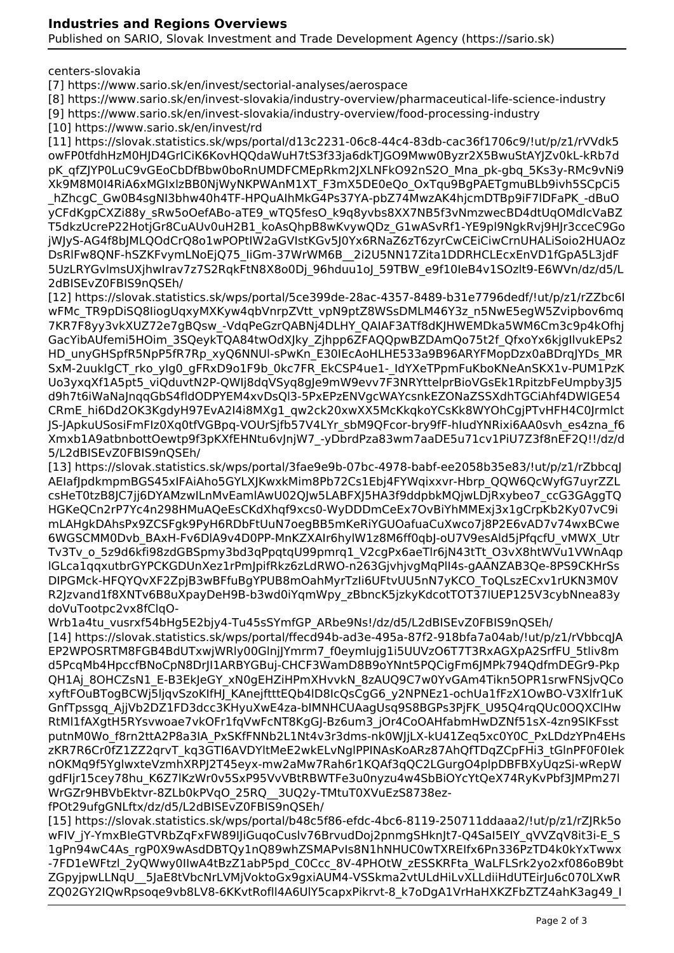Published on SARIO, Slovak Investment and Trade Development Agency (https://sario.sk)

### centers-slovakia

[7] https://www.sario.sk/en/invest/sectorial-analyses/aerospace

[8] https://www.sario.sk/en/invest-slovakia/industry-overview/pharmaceutical-life-science-industry

[9] https://www.sario.sk/en/invest-slovakia/industry-overview/food-processing-industry

[10] https://www.sario.sk/en/invest/rd

[11] https://slovak.statistics.sk/wps/portal/d13c2231-06c8-44c4-83db-cac36f1706c9/!ut/p/z1/rVVdk5 owFP0tfdhHzM0HJD4GrICiK6KovHQQdaWuH7tS3f33ja6dkTJGO9Mww0Byzr2X5BwuStAYJZv0kL-kRb7d pK\_qfZJYP0LuC9vGEoCbDfBbw0boRnUMDFCMEpRkm2JXLNFkO92nS2O\_Mna\_pk-gbq\_5Ks3y-RMc9vNi9 Xk9M8M0I4RiA6xMGIxlzBB0NjWyNKPWAnM1XT\_F3mX5DE0eQo\_OxTqu9BgPAETgmuBLb9ivh5SCpCi5 hZhcgC\_Gw0B4sgNI3bhw40h4TF-HPQuAIhMkG4Ps37YA-pbZ74MwzAK4hjcmDTBp9iF7lDFaPK\_-dBuO yCFdKgpCXZi88y\_sRw5oOefABo-aTE9\_wTQ5fesO\_k9q8yvbs8XX7NB5f3vNmzwecBD4dtUqOMdlcVaBZ T5dkzUcreP22HotjGr8CuAUv0uH2B1\_koAsQhpB8wKvywQDz\_G1wASvRf1-YE9pl9NgkRvj9HJr3cceC9Go jWJyS-AG4f8bJMLQOdCrQ8o1wPOPtIW2aGVIstKGv5J0Yx6RNaZ6zT6zyrCwCEiCiwCrnUHALiSoio2HUAOz DsRlFw8QNF-hSZKFvymLNoEjQ75\_IiGm-37WrWM6B\_\_2i2U5NN17Zita1DDRHCLEcxEnVD1fGpA5L3jdF 5UzLRYGvlmsUXjhwIrav7z7S2RqkFtN8X8o0Dj\_96hduu1oJ\_59TBW\_e9f10IeB4v1SOzlt9-E6WVn/dz/d5/L 2dBISEvZ0FBIS9nQSEh/

[12] https://slovak.statistics.sk/wps/portal/5ce399de-28ac-4357-8489-b31e7796dedf/!ut/p/z1/rZZbc6I wFMc\_TR9pDiSQ8IiogUqxyMXKyw4qbVnrpZVtt\_vpN9ptZ8WSsDMLM46Y3z\_n5NwE5egW5Zvipbov6mq 7KR7F8yy3vkXUZ72e7gBQsw\_-VdqPeGzrQABNj4DLHY\_QAIAF3ATf8dKJHWEMDka5WM6Cm3c9p4kOfhj GacYibAUfemi5HOim\_3SQeykTQA84twOdXJky\_Zjhpp6ZFAQQpwBZDAmQo75t2f\_QfxoYx6kjgIlvukEPs2 HD\_unyGHSpfR5NpP5fR7Rp\_xyQ6NNUl-sPwKn\_E30IEcAoHLHE533a9B96ARYFMopDzx0aBDrqJYDs\_MR SxM-2uuklaCT\_rko\_yIg0\_gFRxD9o1F9b\_0kc7FR\_EkCSP4ue1-\_IdYXeTPpmFuKboKNeAnSKX1v-PUM1PzK Uo3yxqXf1A5pt5\_viQduvtN2P-QWIj8dqVSyq8gJe9mW9evv7F3NRYttelprBioVGsEk1RpitzbFeUmpby3J5 d9h7t6iWaNaJnqqGbS4fldODPYEM4xvDsQl3-5PxEPzENVgcWAYcsnkEZONaZSSXdhTGCiAhf4DWlGE54 CRmE\_hi6Dd2OK3KgdyH97EvA2I4i8MXg1\_qw2ck20xwXX5McKkqkoYCsKk8WYOhCgjPTvHFH4C0Jrmlct JS-JApkuUSosiFmFIz0Xq0tfVGBpq-VOUrSjfb57V4LYr\_sbM9QFcor-bry9fF-hIudYNRixi6AA0svh\_es4zna\_f6 Xmxb1A9atbnbottOewtp9f3pKXfEHNtu6vJnjW7\_-yDbrdPza83wm7aaDE5u71cv1PiU7Z3f8nEF2Q!!/dz/d 5/L2dBISEvZ0FBIS9nQSEh/

[13] https://slovak.statistics.sk/wps/portal/3fae9e9b-07bc-4978-babf-ee2058b35e83/!ut/p/z1/rZbbcqJ AEIafJpdkmpmBGS45xIFAiAho5GYLXJKwxkMim8Pb72Cs1Ebj4FYWqixxvr-Hbrp\_QQW6QcWyfG7uyrZZL csHeT0tzB8JC7jj6DYAMzwILnMvEamlAwU02QJw5LABFXJ5HA3f9ddpbkMQjwLDjRxybeo7\_ccG3GAggTQ HGKeQCn2rP7Yc4n298HMuAQeEsCKdXhqf9xcs0-WyDDDmCeEx7OvBiYhMMExj3x1gCrpKb2Ky07vC9i mLAHgkDAhsPx9ZCSFgk9PyH6RDbFtUuN7oegBB5mKeRiYGUOafuaCuXwco7j8P2E6vAD7v74wxBCwe 6WGSCMM0Dvb\_BAxH-Fv6DlA9v4D0PP-MnKZXAIr6hylW1z8M6ff0qbJ-oU7V9esAld5jPfqcfU\_vMWX\_Utr Tv3Tv\_o\_5z9d6kfi98zdGBSpmy3bd3qPpqtqU99pmrq1\_V2cgPx6aeTlr6jN43tTt\_O3vX8htWVu1VWnAqp lGLca1qqxutbrGYPCKGDUnXez1rPmJpifRkz6zLdRWO-n263GjvhjvgMqPlI4s-gAANZAB3Qe-8PS9CKHrSs DIPGMck-HFQYQvXF2ZpjB3wBFfuBgYPUB8mOahMyrTzIi6UFtvUU5nN7yKCO\_ToQLszECxv1rUKN3M0V R2Jzvand1f8XNTv6B8uXpayDeH9B-b3wd0iYqmWpy\_zBbncK5jzkyKdcotTOT37lUEP125V3cybNnea83y doVuTootpc2vx8fClqO-

Wrb1a4tu\_vusrxf54bHg5E2bjy4-Tu45sSYmfGP\_ARbe9Ns!/dz/d5/L2dBISEvZ0FBIS9nQSEh/ [14] https://slovak.statistics.sk/wps/portal/ffecd94b-ad3e-495a-87f2-918bfa7a04ab/!ut/p/z1/rVbbcqJA EP2WPOSRTM8FGB4BdUTxwjWRly00GlnjJYmrm7\_f0eymIujg1i5UUVzO6T7T3RxAGXpA2SrfFU\_5tliv8m d5PcqMb4HpccfBNoCpN8DrJI1ARBYGBuj-CHCF3WamD8B9oYNnt5PQCigFm6JMPk794QdfmDEGr9-Pkp QH1Aj\_8OHCZsN1\_E-B3EkJeGY\_xN0gEHZiHPmXHvvkN\_8zAUQ9C7w0YvGAm4Tikn5OPR1srwFNSjvQCo xyftFOuBTogBCWj5ljqvSzoKIfHJ\_KAnejftttEQb4lD8IcQsCgG6\_y2NPNEz1-ochUa1fFzX1OwBO-V3Xlfr1uK GnfTpssgq\_AjjVb2DZ1FD3dcc3KHyuXwE4za-bIMNHCUAagUsq9S8BGPs3PjFK\_U95Q4rqQUc0OQXClHw RtMl1fAXgtH5RYsvwoae7vkOFr1fqVwFcNT8KgGJ-Bz6um3\_jOr4CoOAHfabmHwDZNf51sX-4zn9SlKFsst putnM0Wo\_f8rn2ttA2P8a3IA\_PxSKfFNNb2L1Nt4v3r3dms-nk0WJjLX-kU41Zeq5xc0Y0C\_PxLDdzYPn4EHs zKR7R6Cr0fZ1ZZ2qrvT\_kq3GTI6AVDYltMeE2wkELvNglPPINAsKoARz87AhQfTDqZCpFHi3\_tGlnPF0F0Iek nOKMq9f5YglwxteVzmhXRPJ2T45eyx-mw2aMw7Rah6r1KQAf3qQC2LGurgO4plpDBFBXyUqzSi-wRepW gdFIjr15cey78hu\_K6Z7lKzWr0v5SxP95VvVBtRBWTFe3u0nyzu4w4SbBiOYcYtQeX74RyKvPbf3JMPm27l WrGZr9HBVbEktvr-8ZLb0kPVqO\_25RQ\_\_3UQ2y-TMtuT0XVuEzS8738ezfPOt29ufgGNLftx/dz/d5/L2dBISEvZ0FBIS9nQSEh/

[15] https://slovak.statistics.sk/wps/portal/b48c5f86-efdc-4bc6-8119-250711ddaaa2/!ut/p/z1/rZJRk5o wFIV\_jY-YmxBIeGTVRbZqFxFW89IIjGuqoCuslv76BrvudDoj2pnmqSHknJt7-Q4SaI5EIY\_qVVZqV8it3i-E\_S 1gPn94wC4As\_rgP0X9wAsdDBTQy1nQ89whZSMAPvIs8N1hNHUC0wTXREIfx6Pn336PzTD4k0kYxTwwx -7FD1eWFtzl\_2yQWwy0IIwA4tBzZ1abP5pd\_C0Ccc\_8V-4PHOtW\_zESSKRFta\_WaLFLSrk2yo2xf086oB9bt ZGpyjpwLLNqU 5JaE8tVbcNrLVMjVoktoGx9gxiAUM4-VSSkma2vtULdHiLvXLLdiiHdUTEirJu6c070LXwR ZQ02GY2IQwRpsoqe9vb8LV8-6KKvtRofll4A6UlY5capxPikrvt-8\_k7oDgA1VrHaHXKZFbZTZ4ahK3ag49\_I